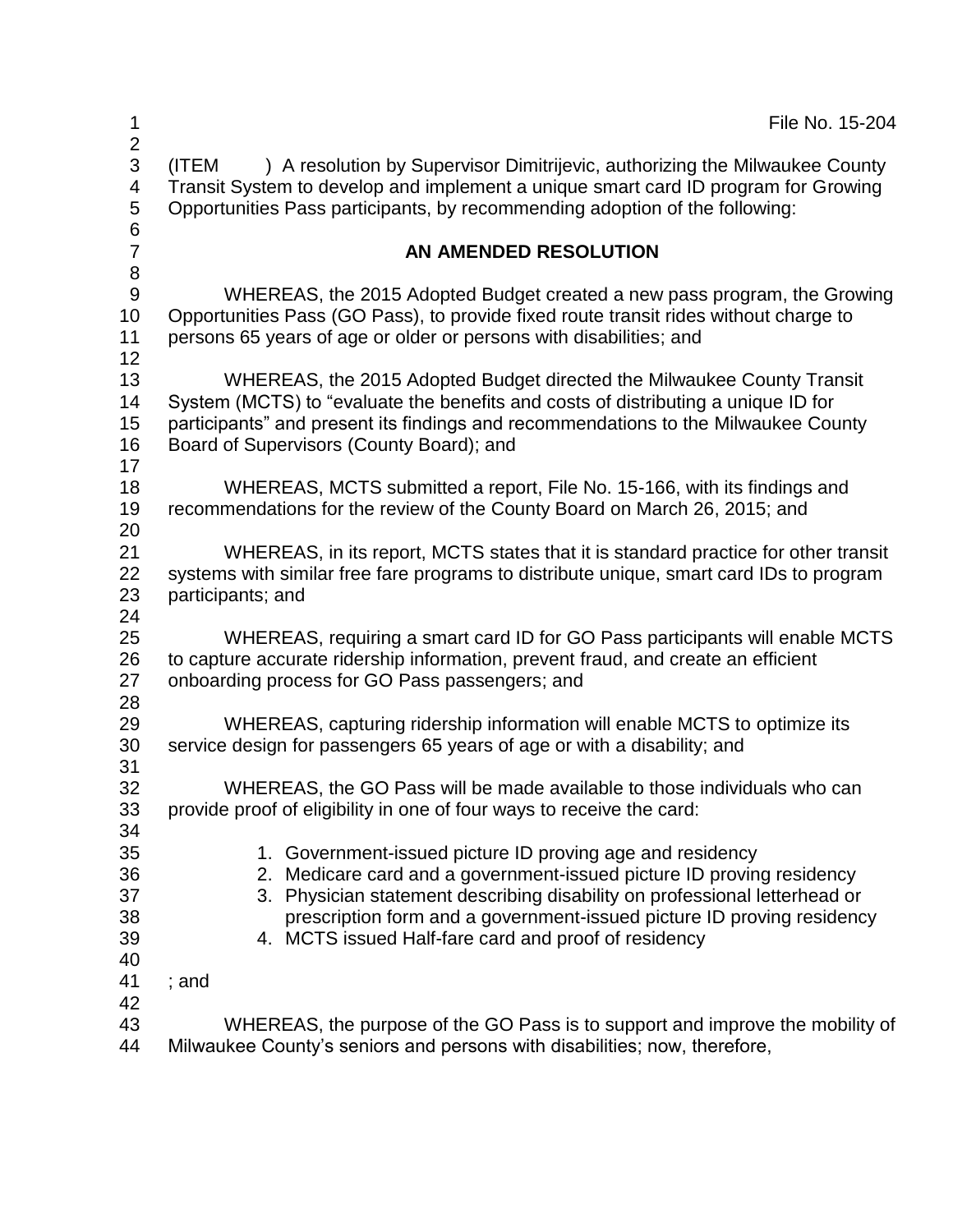| 1                                  | File No. 15-204                                                                                                                                                                                                                                                                                                                                    |
|------------------------------------|----------------------------------------------------------------------------------------------------------------------------------------------------------------------------------------------------------------------------------------------------------------------------------------------------------------------------------------------------|
| $\overline{2}$<br>3<br>4<br>5<br>6 | ) A resolution by Supervisor Dimitrijevic, authorizing the Milwaukee County<br>(ITEM<br>Transit System to develop and implement a unique smart card ID program for Growing<br>Opportunities Pass participants, by recommending adoption of the following:                                                                                          |
| $\overline{7}$<br>$\bf 8$          | AN AMENDED RESOLUTION                                                                                                                                                                                                                                                                                                                              |
| $9\,$<br>10<br>11<br>12            | WHEREAS, the 2015 Adopted Budget created a new pass program, the Growing<br>Opportunities Pass (GO Pass), to provide fixed route transit rides without charge to<br>persons 65 years of age or older or persons with disabilities; and                                                                                                             |
| 13<br>14<br>15<br>16<br>17         | WHEREAS, the 2015 Adopted Budget directed the Milwaukee County Transit<br>System (MCTS) to "evaluate the benefits and costs of distributing a unique ID for<br>participants" and present its findings and recommendations to the Milwaukee County<br>Board of Supervisors (County Board); and                                                      |
| 18<br>19<br>20                     | WHEREAS, MCTS submitted a report, File No. 15-166, with its findings and<br>recommendations for the review of the County Board on March 26, 2015; and                                                                                                                                                                                              |
| 21<br>22<br>23<br>24               | WHEREAS, in its report, MCTS states that it is standard practice for other transit<br>systems with similar free fare programs to distribute unique, smart card IDs to program<br>participants; and                                                                                                                                                 |
| 25<br>26<br>27                     | WHEREAS, requiring a smart card ID for GO Pass participants will enable MCTS<br>to capture accurate ridership information, prevent fraud, and create an efficient<br>onboarding process for GO Pass passengers; and                                                                                                                                |
| 28<br>29<br>30                     | WHEREAS, capturing ridership information will enable MCTS to optimize its<br>service design for passengers 65 years of age or with a disability; and                                                                                                                                                                                               |
| 31<br>32<br>33<br>34               | WHEREAS, the GO Pass will be made available to those individuals who can<br>provide proof of eligibility in one of four ways to receive the card:                                                                                                                                                                                                  |
| 35<br>36<br>37<br>38<br>39<br>40   | 1. Government-issued picture ID proving age and residency<br>2. Medicare card and a government-issued picture ID proving residency<br>3. Physician statement describing disability on professional letterhead or<br>prescription form and a government-issued picture ID proving residency<br>4. MCTS issued Half-fare card and proof of residency |
| 41<br>42                           | ; and                                                                                                                                                                                                                                                                                                                                              |
| 43<br>44                           | WHEREAS, the purpose of the GO Pass is to support and improve the mobility of<br>Milwaukee County's seniors and persons with disabilities; now, therefore,                                                                                                                                                                                         |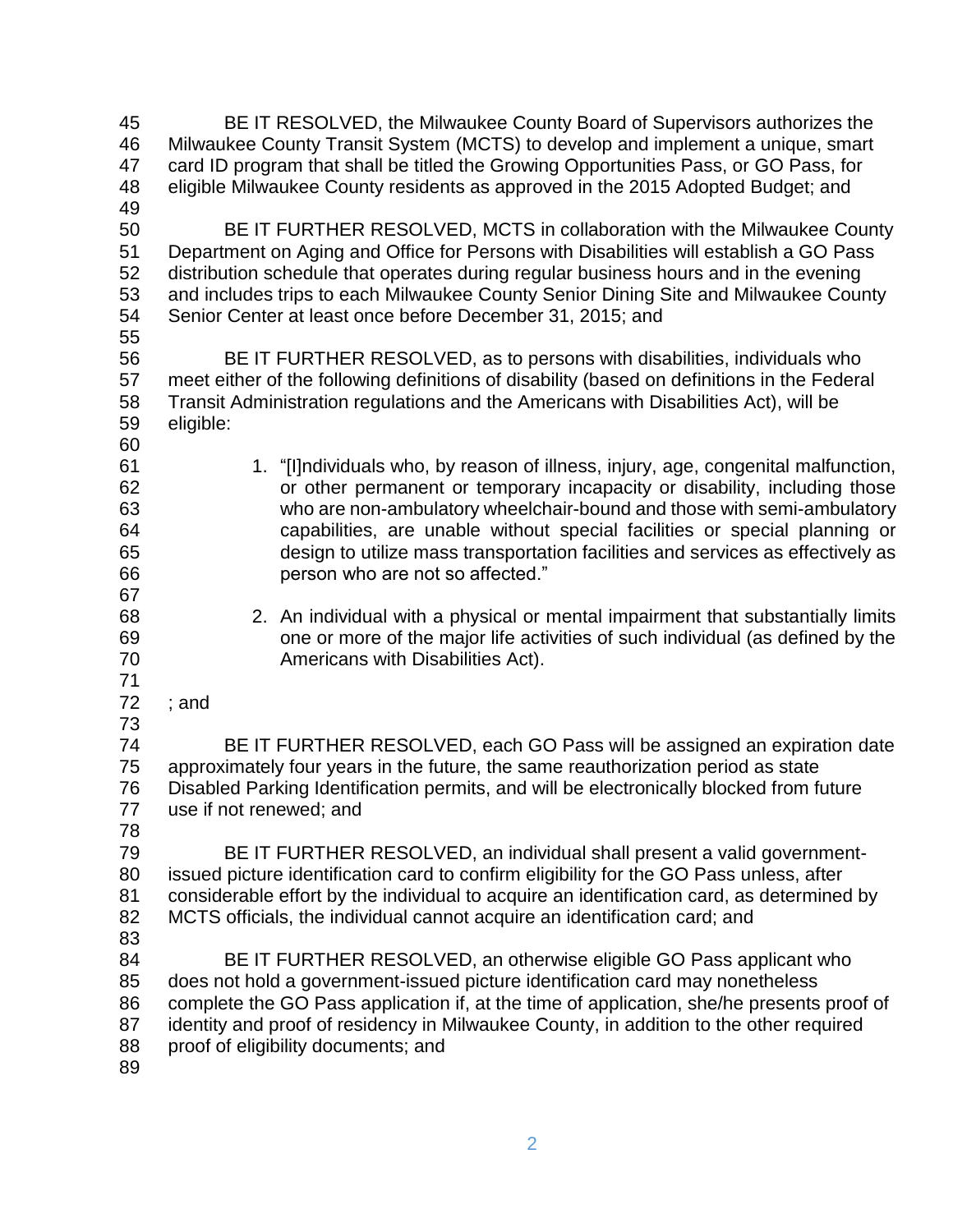| 45 | BE IT RESOLVED, the Milwaukee County Board of Supervisors authorizes the                    |
|----|---------------------------------------------------------------------------------------------|
| 46 | Milwaukee County Transit System (MCTS) to develop and implement a unique, smart             |
| 47 | card ID program that shall be titled the Growing Opportunities Pass, or GO Pass, for        |
| 48 | eligible Milwaukee County residents as approved in the 2015 Adopted Budget; and             |
| 49 |                                                                                             |
| 50 | BE IT FURTHER RESOLVED, MCTS in collaboration with the Milwaukee County                     |
| 51 | Department on Aging and Office for Persons with Disabilities will establish a GO Pass       |
| 52 | distribution schedule that operates during regular business hours and in the evening        |
| 53 | and includes trips to each Milwaukee County Senior Dining Site and Milwaukee County         |
| 54 | Senior Center at least once before December 31, 2015; and                                   |
| 55 |                                                                                             |
| 56 | BE IT FURTHER RESOLVED, as to persons with disabilities, individuals who                    |
| 57 | meet either of the following definitions of disability (based on definitions in the Federal |
| 58 | Transit Administration regulations and the Americans with Disabilities Act), will be        |
| 59 | eligible:                                                                                   |
| 60 |                                                                                             |
| 61 | 1. "[I]ndividuals who, by reason of illness, injury, age, congenital malfunction,           |
| 62 | or other permanent or temporary incapacity or disability, including those                   |
| 63 | who are non-ambulatory wheelchair-bound and those with semi-ambulatory                      |
| 64 | capabilities, are unable without special facilities or special planning or                  |
| 65 | design to utilize mass transportation facilities and services as effectively as             |
| 66 | person who are not so affected."                                                            |
| 67 |                                                                                             |
| 68 | 2. An individual with a physical or mental impairment that substantially limits             |
| 69 | one or more of the major life activities of such individual (as defined by the              |
| 70 | Americans with Disabilities Act).                                                           |
| 71 |                                                                                             |
| 72 | ; and                                                                                       |
| 73 |                                                                                             |
| 74 | BE IT FURTHER RESOLVED, each GO Pass will be assigned an expiration date                    |
| 75 | approximately four years in the future, the same reauthorization period as state            |
| 76 | Disabled Parking Identification permits, and will be electronically blocked from future     |
| 77 | use if not renewed; and                                                                     |
| 78 |                                                                                             |
| 79 | BE IT FURTHER RESOLVED, an individual shall present a valid government-                     |
| 80 | issued picture identification card to confirm eligibility for the GO Pass unless, after     |
| 81 | considerable effort by the individual to acquire an identification card, as determined by   |
| 82 | MCTS officials, the individual cannot acquire an identification card; and                   |
| 83 |                                                                                             |
| 84 | BE IT FURTHER RESOLVED, an otherwise eligible GO Pass applicant who                         |
| 85 | does not hold a government-issued picture identification card may nonetheless               |
| 86 | complete the GO Pass application if, at the time of application, she/he presents proof of   |
| 87 | identity and proof of residency in Milwaukee County, in addition to the other required      |
| 88 | proof of eligibility documents; and                                                         |
| 89 |                                                                                             |
|    |                                                                                             |